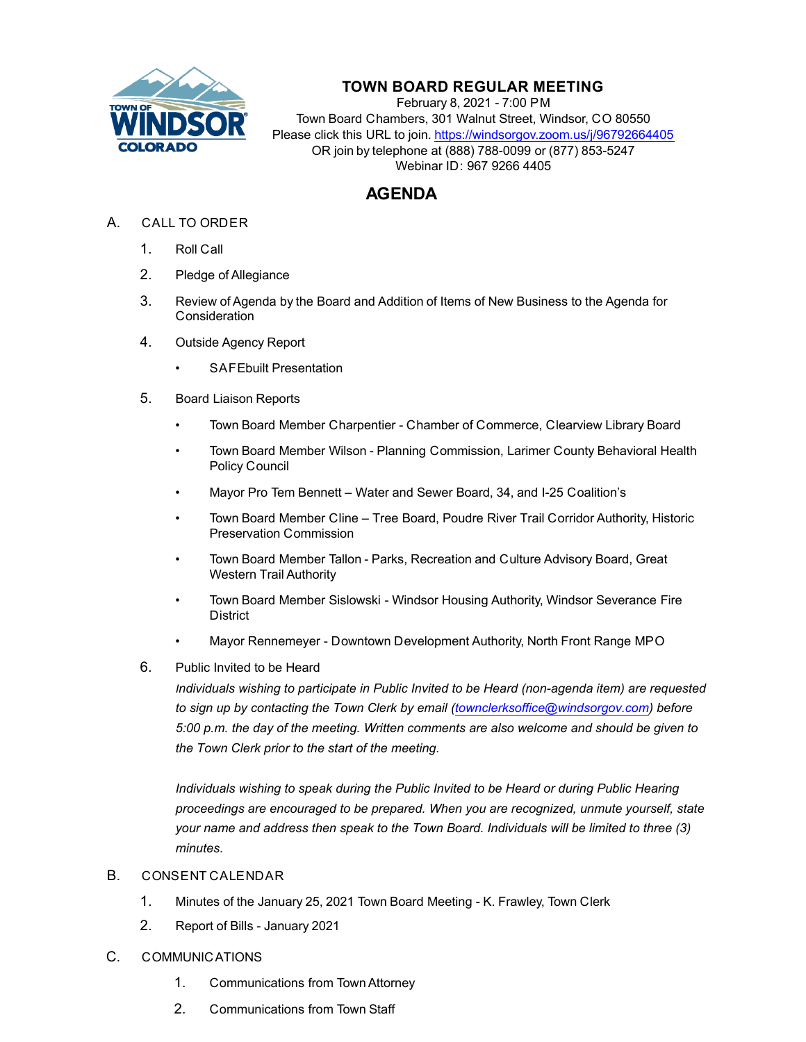

## **TOWN BOARD REGULAR MEETING**

February 8, 2021 - 7:00 PM Town Board Chambers, 301 Walnut Street, Windsor, CO 80550 Please click this URL to join. https://windsorgov.zoom.us/j/96792664405 OR join by telephone at (888) 788-0099 or (877) 853-5247 Webinar ID: 967 9266 4405

## **AGENDA**

- A. CALL TO ORDER
	- 1. Roll Call
	- 2. Pledge of Allegiance
	- 3. Review of Agenda by the Board and Addition of Items of New Business to the Agenda for **Consideration**
	- 4. Outside Agency Report
		- [SAFEbuilt Presentation](file:///C:/Windows/TEMP/CoverSheet.aspx?ItemID=1227&MeetingID=222)
	- 5. Board Liaison Reports
		- Town Board Member Charpentier Chamber of Commerce, Clearview Library Board
		- Town Board Member Wilson Planning Commission, Larimer County Behavioral Health Policy Council
		- Mayor Pro Tem Bennett Water and Sewer Board, 34, and I-25 Coalition's
		- Town Board Member Cline Tree Board, Poudre River Trail Corridor Authority, Historic Preservation Commission
		- Town Board Member Tallon Parks, Recreation and Culture Advisory Board, Great Western Trail Authority
		- Town Board Member Sislowski Windsor Housing Authority, Windsor Severance Fire **District**
		- Mayor Rennemeyer Downtown Development Authority, North Front Range MPO
	- 6. Public Invited to be Heard

*Individuals wishing to participate in Public Invited to be Heard (non-agenda item) are requested to sign up by contacting the Town Clerk by email (townclerksoffice@windsorgov.com) before 5:00 p.m. the day of the meeting. Written comments are also welcome and should be given to the Town Clerk prior to the start of the meeting.*

*Individuals wishing to speak during the Public Invited to be Heard or during Public Hearing proceedings are encouraged to be prepared. When you are recognized, unmute yourself, state your name and address then speak to the Town Board. Individuals will be limited to three (3) minutes.*

## B. CONSENT CALENDAR

- 1. [Minutes of the January 25, 2021 Town Board Meeting K. Frawley, Town Clerk](file:///C:/Windows/TEMP/CoverSheet.aspx?ItemID=1250&MeetingID=222)
- 2. Report of Bills January 2021
- C. COMMUNICATIONS
	- 1. Communications from Town Attorney
	- 2. Communications from Town Staff